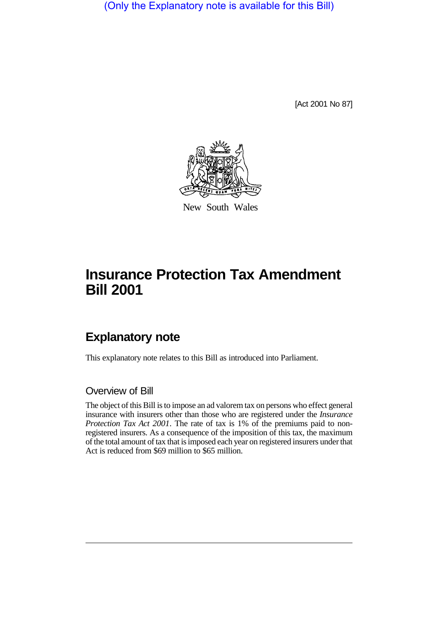(Only the Explanatory note is available for this Bill)

[Act 2001 No 87]



New South Wales

# **Insurance Protection Tax Amendment Bill 2001**

## **Explanatory note**

This explanatory note relates to this Bill as introduced into Parliament.

#### Overview of Bill

The object of this Bill is to impose an ad valorem tax on persons who effect general insurance with insurers other than those who are registered under the *Insurance Protection Tax Act 2001*. The rate of tax is 1% of the premiums paid to nonregistered insurers. As a consequence of the imposition of this tax, the maximum of the total amount of tax that is imposed each year on registered insurers under that Act is reduced from \$69 million to \$65 million.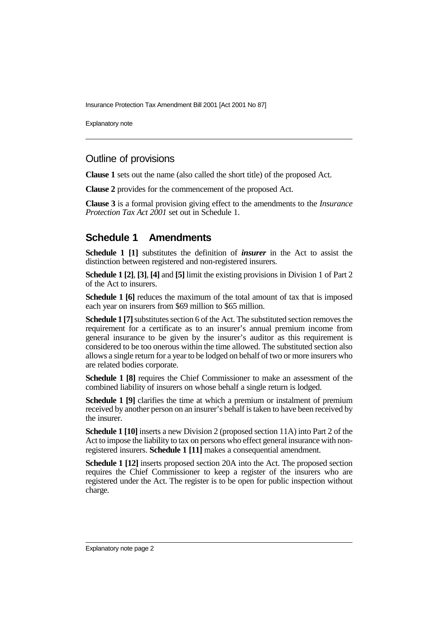Insurance Protection Tax Amendment Bill 2001 [Act 2001 No 87]

Explanatory note

### Outline of provisions

**Clause 1** sets out the name (also called the short title) of the proposed Act.

**Clause 2** provides for the commencement of the proposed Act.

**Clause 3** is a formal provision giving effect to the amendments to the *Insurance Protection Tax Act 2001* set out in Schedule 1.

#### **Schedule 1 Amendments**

**Schedule 1 [1]** substitutes the definition of *insurer* in the Act to assist the distinction between registered and non-registered insurers.

**Schedule 1 [2]**, **[3]**, **[4]** and **[5]** limit the existing provisions in Division 1 of Part 2 of the Act to insurers.

**Schedule 1 [6]** reduces the maximum of the total amount of tax that is imposed each year on insurers from \$69 million to \$65 million.

**Schedule 1 [7]** substitutes section 6 of the Act. The substituted section removes the requirement for a certificate as to an insurer's annual premium income from general insurance to be given by the insurer's auditor as this requirement is considered to be too onerous within the time allowed. The substituted section also allows a single return for a year to be lodged on behalf of two or more insurers who are related bodies corporate.

**Schedule 1 [8]** requires the Chief Commissioner to make an assessment of the combined liability of insurers on whose behalf a single return is lodged.

**Schedule 1 [9]** clarifies the time at which a premium or instalment of premium received by another person on an insurer's behalf is taken to have been received by the insurer.

**Schedule 1 [10]** inserts a new Division 2 (proposed section 11A) into Part 2 of the Act to impose the liability to tax on persons who effect general insurance with nonregistered insurers. **Schedule 1 [11]** makes a consequential amendment.

**Schedule 1 [12]** inserts proposed section 20A into the Act. The proposed section requires the Chief Commissioner to keep a register of the insurers who are registered under the Act. The register is to be open for public inspection without charge.